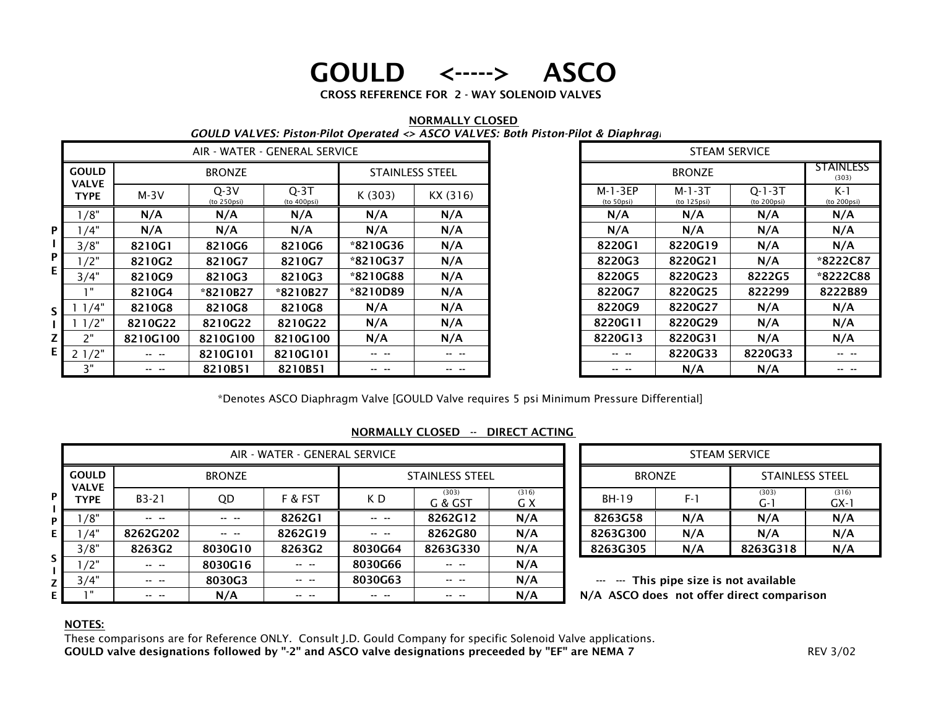# GOULD <-----> ASCO

CROSS REFERENCE FOR 2 - WAY SOLENOID VALVES

|     |                             |          |                       |                               |          |                        | 000LD VALVES. I ISLUIT HUL OPERATED YA SEO VALVES. DULII I ISLUIT HUL & DINPIN NG |                                          |                         |                             |                       |
|-----|-----------------------------|----------|-----------------------|-------------------------------|----------|------------------------|-----------------------------------------------------------------------------------|------------------------------------------|-------------------------|-----------------------------|-----------------------|
|     |                             |          |                       | AIR - WATER - GENERAL SERVICE |          |                        | <b>STEAM SERVICE</b>                                                              |                                          |                         |                             |                       |
|     | <b>GOULD</b>                |          | <b>BRONZE</b>         |                               |          | <b>STAINLESS STEEL</b> |                                                                                   |                                          |                         | <b>STAINLESS</b><br>(303)   |                       |
|     | <b>VALVE</b><br><b>TYPE</b> | $M-3V$   | $Q-3V$<br>(to 250psi) | $Q-3T$<br>(to 400psi)         | K (303)  | KX (316)               |                                                                                   | $M-1-3EP$<br>(to 50psi)                  | $M-1-3T$<br>(to 125psi) | $Q - 1 - 3T$<br>(to 200psi) | $K-1$<br>(to 200psi)  |
|     | 1/8"                        | N/A      | N/A                   | N/A                           | N/A      | N/A                    |                                                                                   | N/A                                      | N/A                     | N/A                         | N/A                   |
| P   | 1/4"                        | N/A      | N/A                   | N/A                           | N/A      | N/A                    |                                                                                   | N/A                                      | N/A                     | N/A                         | N/A                   |
|     | 3/8"                        | 8210G1   | 8210G6                | 8210G6                        | *8210G36 | N/A                    |                                                                                   | 8220G1                                   | 8220G19                 | N/A                         | N/A                   |
| ΡI  | /2"                         | 8210G2   | 8210G7                | 8210G7                        | *8210G37 | N/A                    |                                                                                   | 8220G3                                   | 8220G21                 | N/A                         | *8222C87              |
| E.  | 3/4"                        | 8210G9   | 8210G3                | 8210G3                        | *8210G88 | N/A                    |                                                                                   | 8220G5                                   | 8220G23                 | 8222G5                      | *8222C88              |
|     | <b>1 H</b>                  | 8210G4   | *8210B27              | *8210B27                      | *8210D89 | N/A                    |                                                                                   | 8220G7                                   | 8220G25                 | 822299                      | 8222B89               |
| s l | 1/4"                        | 8210G8   | 8210G8                | 8210G8                        | N/A      | N/A                    |                                                                                   | 8220G9                                   | 8220G27                 | N/A                         | N/A                   |
|     | 11/2"                       | 8210G22  | 8210G22               | 8210G22                       | N/A      | N/A                    |                                                                                   | 8220G29<br>8220G11<br>8220G13<br>8220G31 |                         | N/A                         | N/A                   |
| ΖI  | 2"                          | 8210G100 | 8210G100              | 8210G100                      | N/A      | N/A                    |                                                                                   |                                          |                         | N/A                         | N/A                   |
| E I | 21/2"                       |          | 8210G101              | 8210G101                      | -- --    | -- --                  |                                                                                   | -- --                                    | 8220G33                 | 8220G33                     | $\cdots \quad \cdots$ |
|     | 3"                          | -- --    | 8210B51               | 8210B51                       | -- --    | -- --                  |                                                                                   | -- --                                    | N/A                     | N/A                         | -- --                 |

#### NORMALLY CLOSED*GOULD VALVES: Piston-Pilot Operated <> ASCO VALVES: Both Piston-Pilot & Diaphragm*

|   | <b>ERVICE</b>          |          | <b>STEAM SERVICE</b>    |                           |                         |                    |  |  |  |
|---|------------------------|----------|-------------------------|---------------------------|-------------------------|--------------------|--|--|--|
|   | <b>STAINLESS STEEL</b> |          |                         | <b>STAINLESS</b><br>(303) |                         |                    |  |  |  |
|   | K (303)                | KX (316) | $M-1-3EP$<br>(to 50psi) | $M-1-3T$<br>(to 125psi)   | $Q-1-3T$<br>(to 200psi) | K-1<br>(to 200psi) |  |  |  |
|   | N/A<br>N/A             |          | N/A                     | N/A                       | N/A                     | N/A                |  |  |  |
|   | N/A<br>N/A             |          | N/A                     | N/A                       | N/A                     | N/A                |  |  |  |
|   | *8210G36               | N/A      | 8220G1                  | 8220G19                   | N/A                     | N/A                |  |  |  |
|   | *8210G37               | N/A      | 8220G3                  | 8220G21                   | N/A                     | *8222C87           |  |  |  |
|   | *8210G88               | N/A      | 8220G5                  | 8220G23                   | 8222G5                  | *8222C88           |  |  |  |
| 7 | *8210D89               | N/A      | 8220G7                  | 8220G25                   | 822299                  | 8222B89            |  |  |  |
|   | N/A                    | N/A      | 8220G9                  | 8220G27                   | N/A                     | N/A                |  |  |  |
|   | N/A                    | N/A      | 8220G11                 | 8220G29                   | N/A                     | N/A                |  |  |  |
| 0 | N/A                    | N/A      | 8220G13                 | 8220G31                   | N/A                     | N/A                |  |  |  |
|   |                        |          |                         | 8220G33                   | 8220G33                 |                    |  |  |  |
|   |                        |          |                         | N/A                       | N/A                     |                    |  |  |  |

\*Denotes ASCO Diaphragm Valve [GOULD Valve requires 5 psi Minimum Pressure Differential]

|     |                                      |                       | AIR - WATER - GENERAL SERVICE |                       | <b>STEAM SERVICE</b> |                       |              |                                                                                      |              |       |                        |                 |  |  |
|-----|--------------------------------------|-----------------------|-------------------------------|-----------------------|----------------------|-----------------------|--------------|--------------------------------------------------------------------------------------|--------------|-------|------------------------|-----------------|--|--|
|     | <b>GOULD</b><br><b>VALVE</b><br>TYPE |                       | <b>BRONZE</b>                 |                       | STAINLESS STEEL      |                       |              | <b>BRONZE</b>                                                                        |              |       | <b>STAINLESS STEEL</b> |                 |  |  |
| ΡI  |                                      | $B3-21$               | QD                            | F & FST               | K D                  | (303)<br>G & GST      | (316)<br>G X |                                                                                      | <b>BH-19</b> | $F-1$ | (303)<br>G-1           | (316)<br>$GX-1$ |  |  |
| ΡI  | /8"                                  | -- --                 |                               | 8262G1                | -- --                | 8262G12               | N/A          |                                                                                      | 8263G58      | N/A   | N/A                    | N/A             |  |  |
| ΕI  | /4"                                  | 8262G202              |                               | 8262G19               | -- --                | 8262G80               | N/A          |                                                                                      | 8263G300     | N/A   | N/A                    | N/A             |  |  |
|     | 3/8"                                 | 8263G2                | 8030G10                       | 8263G2                | 8030G64              | 8263G330              | N/A          |                                                                                      | 8263G305     | N/A   | 8263G318               | N/A             |  |  |
|     | 1/2"                                 | $\cdots \quad \cdots$ | 8030G16                       | $\cdots \quad \cdots$ | 8030G66              | -- --                 | N/A          |                                                                                      |              |       |                        |                 |  |  |
| z l | 3/4"                                 | $\cdots \quad \cdots$ | 8030G3                        | $\cdots \quad \cdots$ | 8030G63              | $\cdots \quad \cdots$ | N/A          | --- --- This pipe size is not available<br>N/A ASCO does not offer direct comparison |              |       |                        |                 |  |  |
| ΕI  | - 8                                  | -- --                 | N/A                           | -- --                 | -- --                | -- --                 | N/A          |                                                                                      |              |       |                        |                 |  |  |

### NORMALLY CLOSED -- DIRECT ACTING

|       |              | <b>STEAM SERVICE</b> |               |                        |                 |  |  |  |
|-------|--------------|----------------------|---------------|------------------------|-----------------|--|--|--|
| STEEL |              |                      | <b>BRONZE</b> | <b>STAINLESS STEEL</b> |                 |  |  |  |
|       | (316)<br>G X | <b>BH-19</b>         | $F-1$         | (303)<br>G-1           | (316)<br>$GX-1$ |  |  |  |
| 12    | N/A          | 8263G58              | N/A           | N/A                    | N/A             |  |  |  |
| 30    | N/A          | 8263G300             | N/A           | N/A                    | N/A             |  |  |  |
| 30    | N/A          | 8263G305             | N/A           | 8263G318               | N/A             |  |  |  |
|       |              |                      |               |                        |                 |  |  |  |

### NOTES:

These comparisons are for Reference ONLY. Consult J.D. Gould Company for specific Solenoid Valve applications. GOULD valve designations followed by "-2" and ASCO valve designations preceeded by "EF" are NEMA 7 REV 3/02